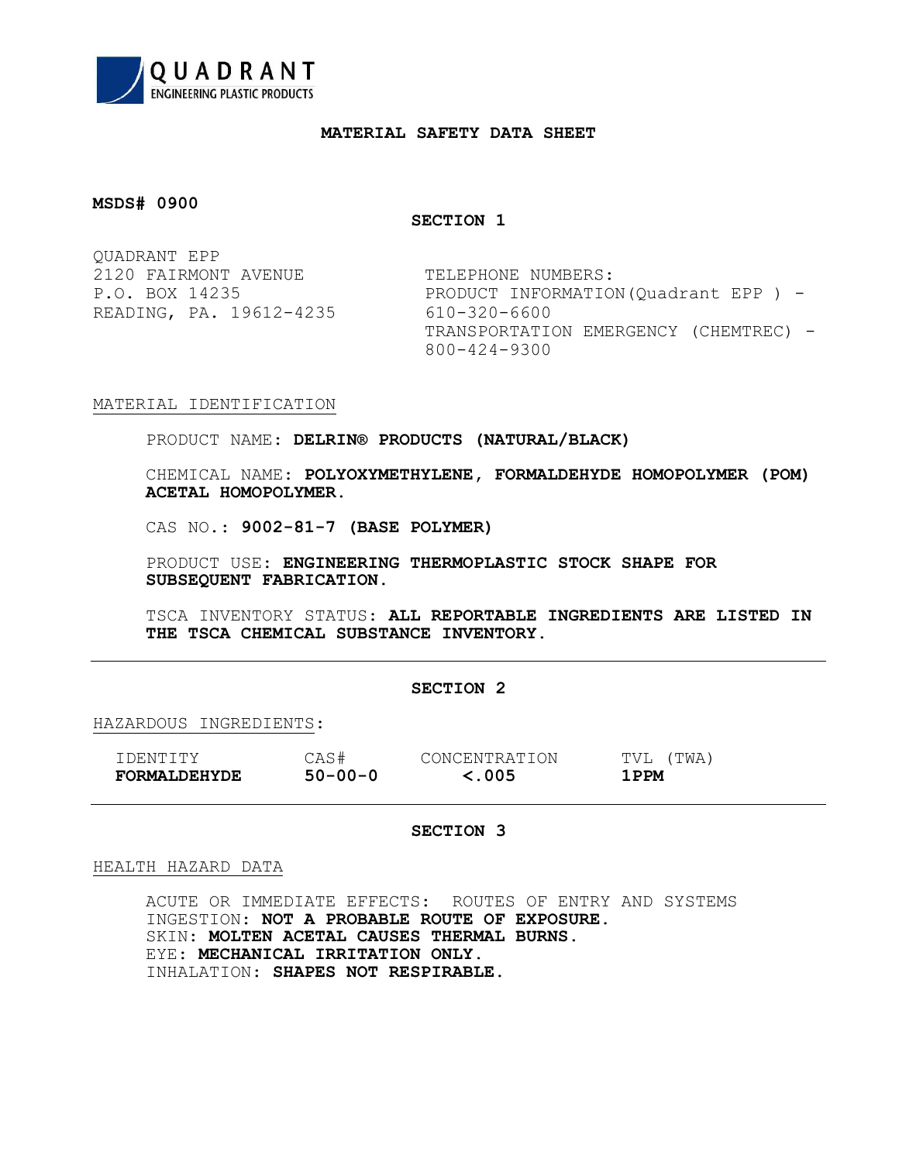

## MATERIAL SAFETY DATA SHEET

## MSDS# 0900

SECTION 1

QUADRANT EPP 2120 FAIRMONT AVENUE TELEPHONE NUMBERS: READING, PA. 19612-4235 610-320-6600

P.O. BOX 14235 PRODUCT INFORMATION(Quadrant EPP) -TRANSPORTATION EMERGENCY (CHEMTREC) - 800-424-9300

# MATERIAL IDENTIFICATION

PRODUCT NAME: DELRIN® PRODUCTS (NATURAL/BLACK)

CHEMICAL NAME: POLYOXYMETHYLENE, FORMALDEHYDE HOMOPOLYMER (POM) ACETAL HOMOPOLYMER.

CAS NO.: 9002-81-7 (BASE POLYMER)

PRODUCT USE: ENGINEERING THERMOPLASTIC STOCK SHAPE FOR SUBSEQUENT FABRICATION.

TSCA INVENTORY STATUS: ALL REPORTABLE INGREDIENTS ARE LISTED IN THE TSCA CHEMICAL SUBSTANCE INVENTORY.

### SECTION 2

HAZARDOUS INGREDIENTS:

| T DENTTTY           | CAS#          | CONCENTRATION | TVL<br>(TWA) |
|---------------------|---------------|---------------|--------------|
| <b>FORMALDEHYDE</b> | $50 - 00 - 0$ | $\leq$ .005   | 1 PPM        |

# SECTION 3

### HEALTH HAZARD DATA

ACUTE OR IMMEDIATE EFFECTS: ROUTES OF ENTRY AND SYSTEMS INGESTION: NOT A PROBABLE ROUTE OF EXPOSURE. SKIN: MOLTEN ACETAL CAUSES THERMAL BURNS. EYE: MECHANICAL IRRITATION ONLY. INHALATION: SHAPES NOT RESPIRABLE.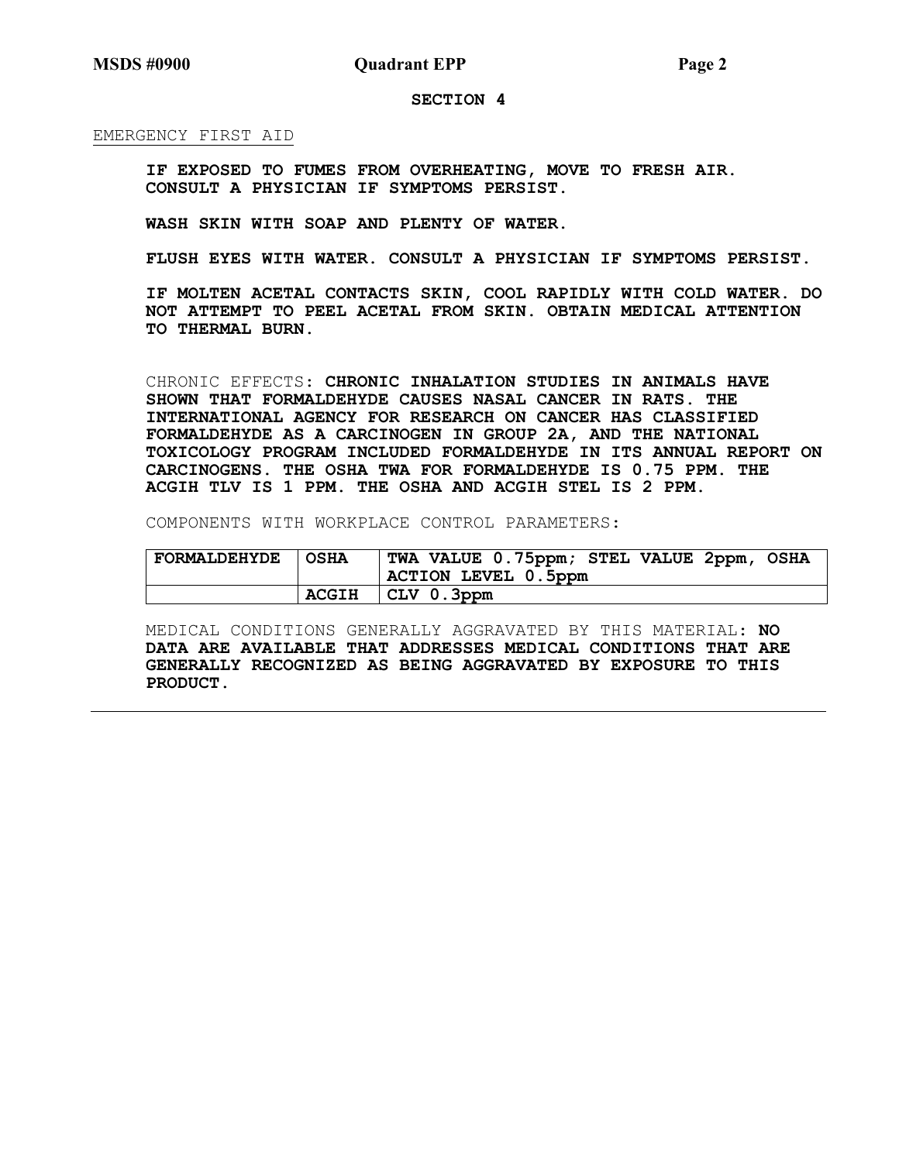## MSDS #0900 Quadrant EPP Page 2

### SECTION 4

EMERGENCY FIRST AID

 IF EXPOSED TO FUMES FROM OVERHEATING, MOVE TO FRESH AIR. CONSULT A PHYSICIAN IF SYMPTOMS PERSIST.

WASH SKIN WITH SOAP AND PLENTY OF WATER.

FLUSH EYES WITH WATER. CONSULT A PHYSICIAN IF SYMPTOMS PERSIST.

 IF MOLTEN ACETAL CONTACTS SKIN, COOL RAPIDLY WITH COLD WATER. DO NOT ATTEMPT TO PEEL ACETAL FROM SKIN. OBTAIN MEDICAL ATTENTION TO THERMAL BURN.

CHRONIC EFFECTS: CHRONIC INHALATION STUDIES IN ANIMALS HAVE SHOWN THAT FORMALDEHYDE CAUSES NASAL CANCER IN RATS. THE INTERNATIONAL AGENCY FOR RESEARCH ON CANCER HAS CLASSIFIED FORMALDEHYDE AS A CARCINOGEN IN GROUP 2A, AND THE NATIONAL TOXICOLOGY PROGRAM INCLUDED FORMALDEHYDE IN ITS ANNUAL REPORT ON CARCINOGENS. THE OSHA TWA FOR FORMALDEHYDE IS 0.75 PPM. THE ACGIH TLV IS 1 PPM. THE OSHA AND ACGIH STEL IS 2 PPM.

COMPONENTS WITH WORKPLACE CONTROL PARAMETERS:

| <b>FORMALDEHYDE</b> | l OSHA       | TWA VALUE 0.75ppm; STEL VALUE 2ppm, OSHA |
|---------------------|--------------|------------------------------------------|
|                     |              | ACTION LEVEL 0.5ppm                      |
|                     | <b>ACGIH</b> | $ CLV$ 0.3ppm                            |

MEDICAL CONDITIONS GENERALLY AGGRAVATED BY THIS MATERIAL: NO DATA ARE AVAILABLE THAT ADDRESSES MEDICAL CONDITIONS THAT ARE GENERALLY RECOGNIZED AS BEING AGGRAVATED BY EXPOSURE TO THIS PRODUCT.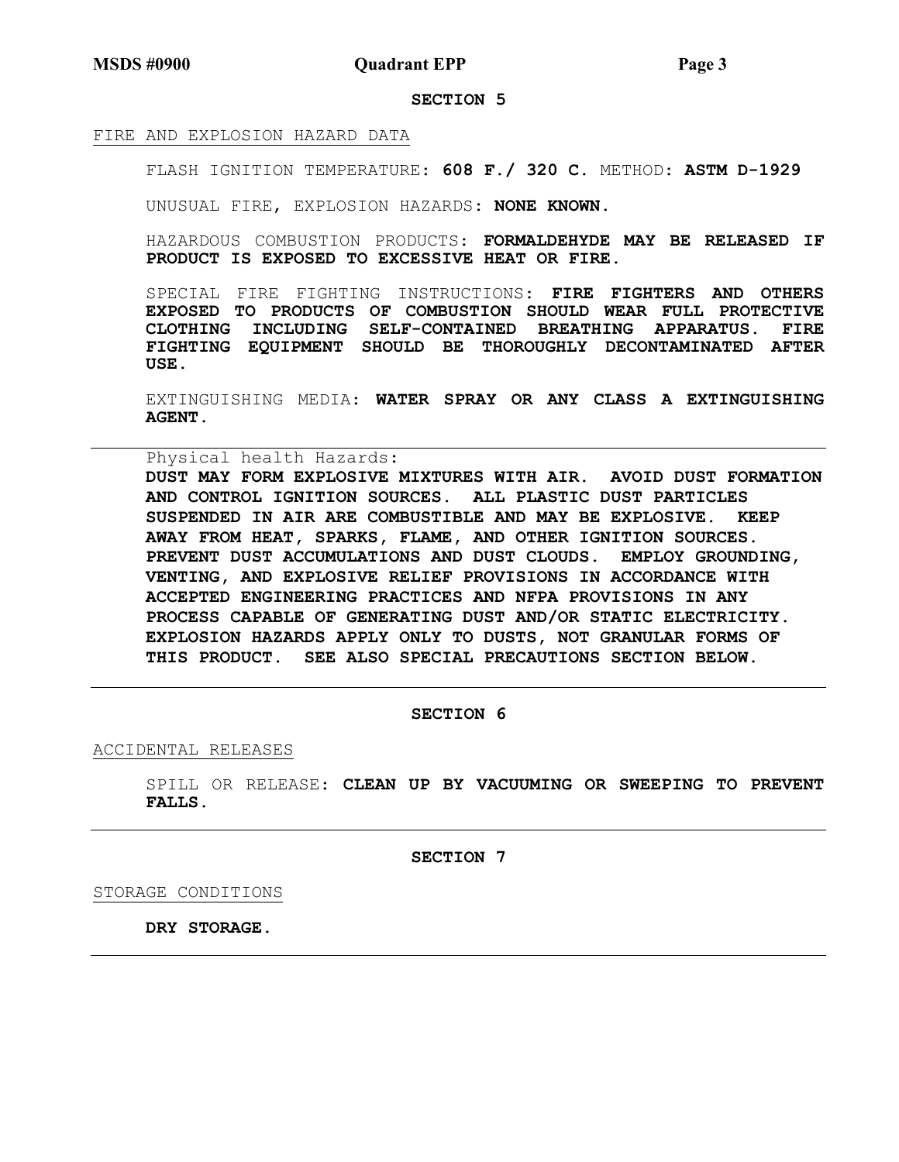MSDS #0900 Quadrant EPP Page 3

### SECTION 5

### FIRE AND EXPLOSION HAZARD DATA

FLASH IGNITION TEMPERATURE: 608 F./ 320 C. METHOD: ASTM D-1929

UNUSUAL FIRE, EXPLOSION HAZARDS: NONE KNOWN.

HAZARDOUS COMBUSTION PRODUCTS: FORMALDEHYDE MAY BE RELEASED IF PRODUCT IS EXPOSED TO EXCESSIVE HEAT OR FIRE.

SPECIAL FIRE FIGHTING INSTRUCTIONS: FIRE FIGHTERS AND OTHERS EXPOSED TO PRODUCTS OF COMBUSTION SHOULD WEAR FULL PROTECTIVE CLOTHING INCLUDING SELF-CONTAINED BREATHING APPARATUS. FIRE FIGHTING EQUIPMENT SHOULD BE THOROUGHLY DECONTAMINATED AFTER USE.

EXTINGUISHING MEDIA: WATER SPRAY OR ANY CLASS A EXTINGUISHING AGENT.

Physical health Hazards:

DUST MAY FORM EXPLOSIVE MIXTURES WITH AIR. AVOID DUST FORMATION AND CONTROL IGNITION SOURCES. ALL PLASTIC DUST PARTICLES SUSPENDED IN AIR ARE COMBUSTIBLE AND MAY BE EXPLOSIVE. KEEP AWAY FROM HEAT, SPARKS, FLAME, AND OTHER IGNITION SOURCES. PREVENT DUST ACCUMULATIONS AND DUST CLOUDS. EMPLOY GROUNDING, VENTING, AND EXPLOSIVE RELIEF PROVISIONS IN ACCORDANCE WITH ACCEPTED ENGINEERING PRACTICES AND NFPA PROVISIONS IN ANY PROCESS CAPABLE OF GENERATING DUST AND/OR STATIC ELECTRICITY. EXPLOSION HAZARDS APPLY ONLY TO DUSTS, NOT GRANULAR FORMS OF THIS PRODUCT. SEE ALSO SPECIAL PRECAUTIONS SECTION BELOW.

### SECTION 6

ACCIDENTAL RELEASES

SPILL OR RELEASE: CLEAN UP BY VACUUMING OR SWEEPING TO PREVENT FALLS.

SECTION 7

STORAGE CONDITIONS

DRY STORAGE.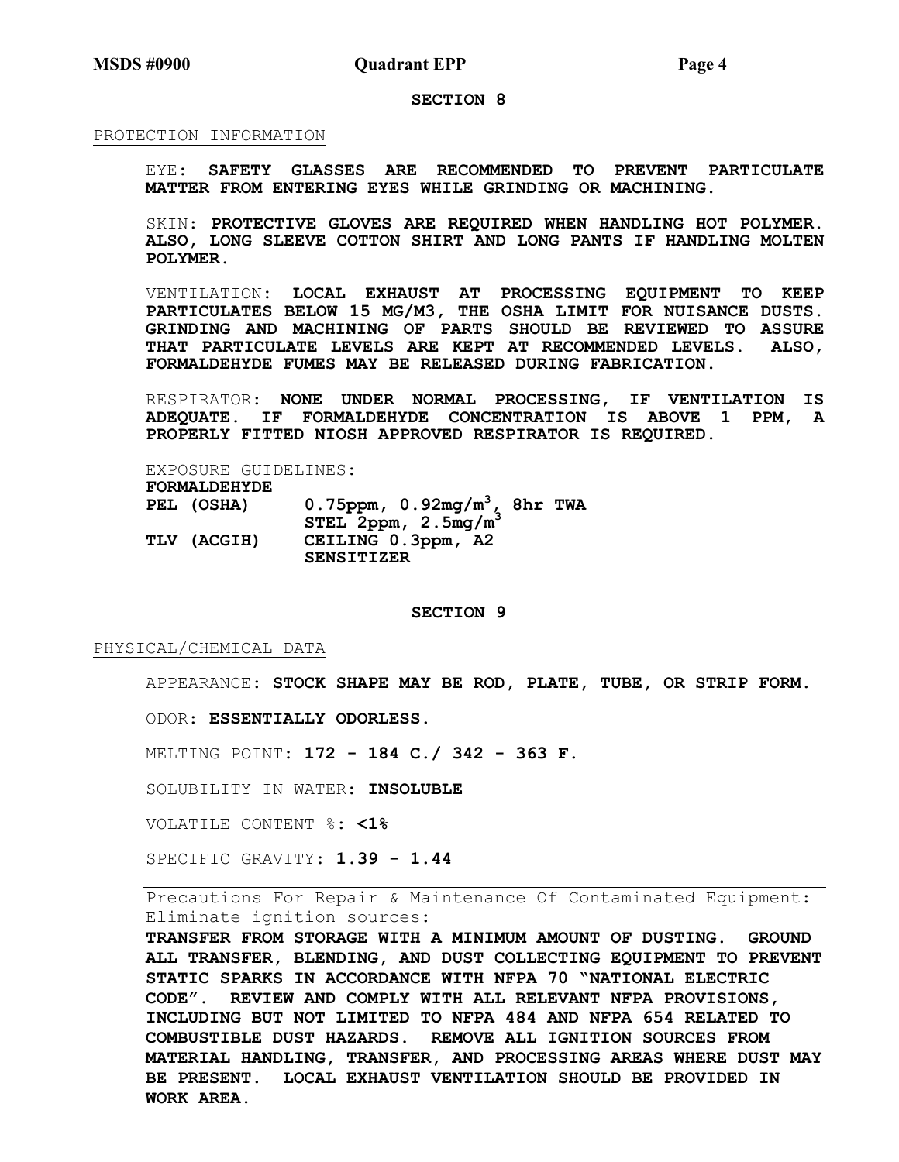#### SECTION 8

### PROTECTION INFORMATION

EYE: SAFETY GLASSES ARE RECOMMENDED TO PREVENT PARTICULATE MATTER FROM ENTERING EYES WHILE GRINDING OR MACHINING.

SKIN: PROTECTIVE GLOVES ARE REQUIRED WHEN HANDLING HOT POLYMER. ALSO, LONG SLEEVE COTTON SHIRT AND LONG PANTS IF HANDLING MOLTEN POLYMER.

VENTILATION: LOCAL EXHAUST AT PROCESSING EQUIPMENT TO KEEP PARTICULATES BELOW 15 MG/M3, THE OSHA LIMIT FOR NUISANCE DUSTS. GRINDING AND MACHINING OF PARTS SHOULD BE REVIEWED TO ASSURE THAT PARTICULATE LEVELS ARE KEPT AT RECOMMENDED LEVELS. ALSO, FORMALDEHYDE FUMES MAY BE RELEASED DURING FABRICATION.

RESPIRATOR: NONE UNDER NORMAL PROCESSING, IF VENTILATION IS ADEQUATE. IF FORMALDEHYDE CONCENTRATION IS ABOVE 1 PPM, A PROPERLY FITTED NIOSH APPROVED RESPIRATOR IS REQUIRED.

EXPOSURE GUIDELINES: FORMALDEHYDE PEL (OSHA) 0.75ppm,  $0.92mg/m^3$ , 8hr TWA  $\texttt{STEL 2ppm, 2.5mg/m}^3$ TLV (ACGIH) CEILING 0.3ppm, A2 SENSITIZER

## SECTION 9

#### PHYSICAL/CHEMICAL DATA

APPEARANCE: STOCK SHAPE MAY BE ROD, PLATE, TUBE, OR STRIP FORM.

ODOR: ESSENTIALLY ODORLESS.

MELTING POINT: 172 - 184 C./ 342 - 363 F.

SOLUBILITY IN WATER: INSOLUBLE

VOLATILE CONTENT %: <1%

SPECIFIC GRAVITY: 1.39 - 1.44

Precautions For Repair & Maintenance Of Contaminated Equipment: Eliminate ignition sources:

TRANSFER FROM STORAGE WITH A MINIMUM AMOUNT OF DUSTING. GROUND ALL TRANSFER, BLENDING, AND DUST COLLECTING EQUIPMENT TO PREVENT STATIC SPARKS IN ACCORDANCE WITH NFPA 70 "NATIONAL ELECTRIC CODE". REVIEW AND COMPLY WITH ALL RELEVANT NFPA PROVISIONS, INCLUDING BUT NOT LIMITED TO NFPA 484 AND NFPA 654 RELATED TO COMBUSTIBLE DUST HAZARDS. REMOVE ALL IGNITION SOURCES FROM MATERIAL HANDLING, TRANSFER, AND PROCESSING AREAS WHERE DUST MAY BE PRESENT. LOCAL EXHAUST VENTILATION SHOULD BE PROVIDED IN WORK AREA.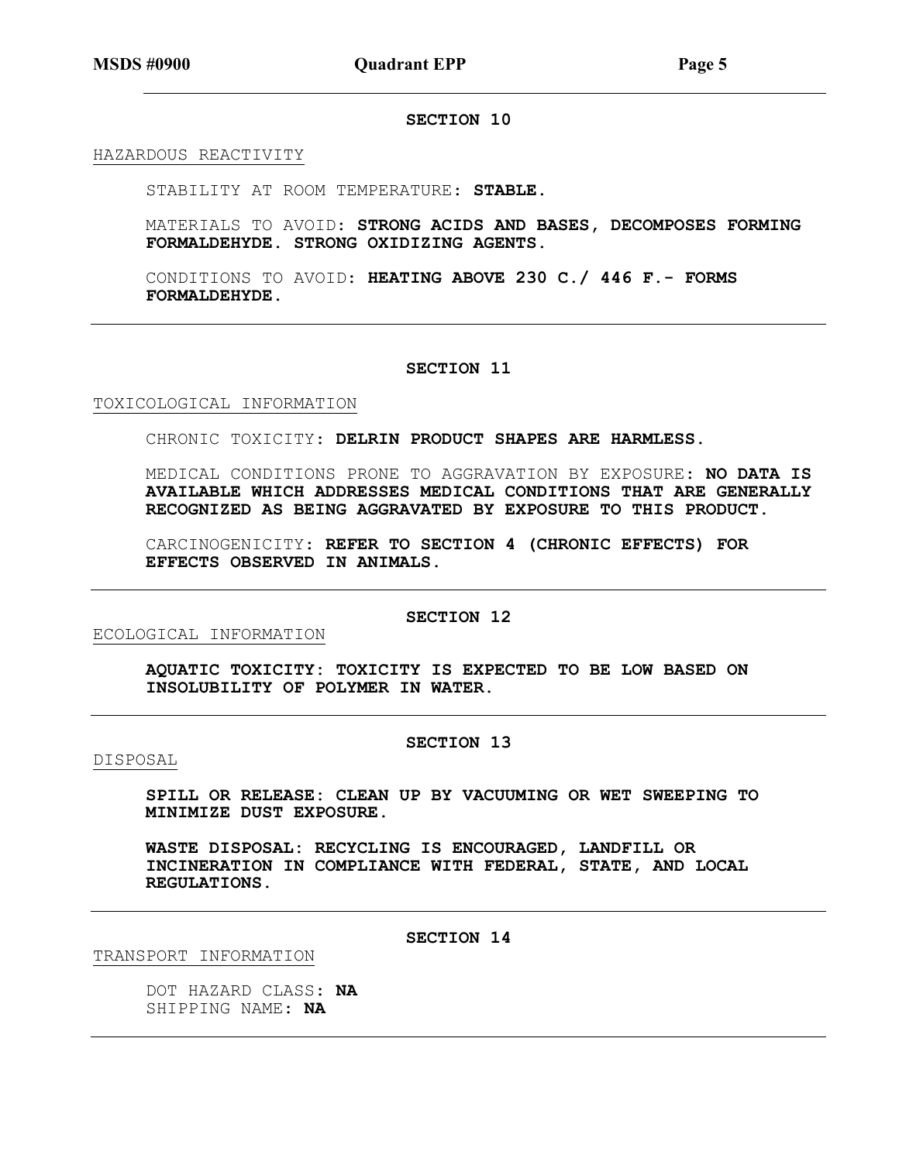## SECTION 10

HAZARDOUS REACTIVITY

STABILITY AT ROOM TEMPERATURE: STABLE.

MATERIALS TO AVOID: STRONG ACIDS AND BASES, DECOMPOSES FORMING FORMALDEHYDE. STRONG OXIDIZING AGENTS.

CONDITIONS TO AVOID: HEATING ABOVE 230 C./ 446 F.- FORMS FORMALDEHYDE.

#### SECTION 11

### TOXICOLOGICAL INFORMATION

CHRONIC TOXICITY: DELRIN PRODUCT SHAPES ARE HARMLESS.

MEDICAL CONDITIONS PRONE TO AGGRAVATION BY EXPOSURE: NO DATA IS AVAILABLE WHICH ADDRESSES MEDICAL CONDITIONS THAT ARE GENERALLY RECOGNIZED AS BEING AGGRAVATED BY EXPOSURE TO THIS PRODUCT.

CARCINOGENICITY: REFER TO SECTION 4 (CHRONIC EFFECTS) FOR EFFECTS OBSERVED IN ANIMALS.

### SECTION 12

ECOLOGICAL INFORMATION

AQUATIC TOXICITY: TOXICITY IS EXPECTED TO BE LOW BASED ON INSOLUBILITY OF POLYMER IN WATER.

## SECTION 13

DISPOSAL

SPILL OR RELEASE: CLEAN UP BY VACUUMING OR WET SWEEPING TO MINIMIZE DUST EXPOSURE.

WASTE DISPOSAL: RECYCLING IS ENCOURAGED, LANDFILL OR INCINERATION IN COMPLIANCE WITH FEDERAL, STATE, AND LOCAL REGULATIONS.

SECTION 14

TRANSPORT INFORMATION

DOT HAZARD CLASS: NA SHIPPING NAME: NA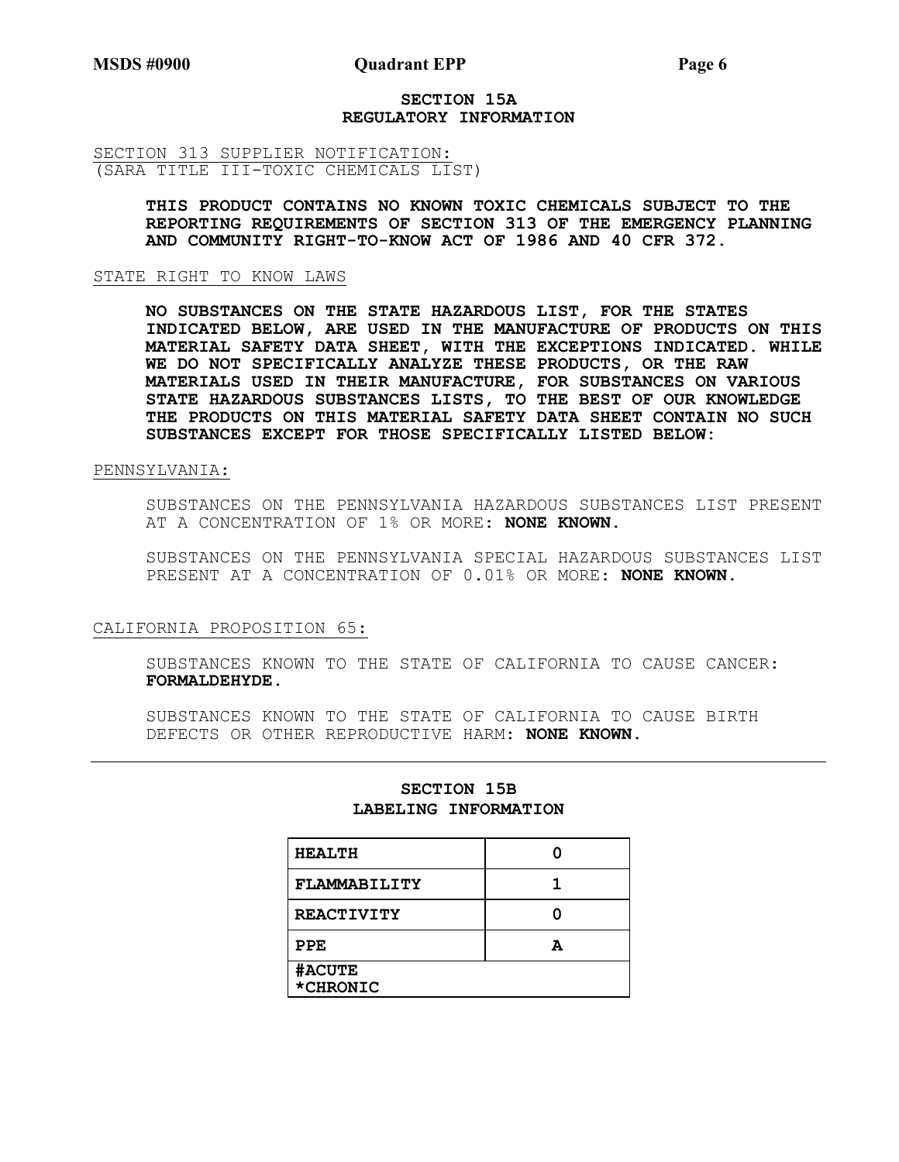### SECTION 15A REGULATORY INFORMATION

SECTION 313 SUPPLIER NOTIFICATION: (SARA TITLE III-TOXIC CHEMICALS LIST)

> THIS PRODUCT CONTAINS NO KNOWN TOXIC CHEMICALS SUBJECT TO THE REPORTING REQUIREMENTS OF SECTION 313 OF THE EMERGENCY PLANNING AND COMMUNITY RIGHT-TO-KNOW ACT OF 1986 AND 40 CFR 372.

### STATE RIGHT TO KNOW LAWS

NO SUBSTANCES ON THE STATE HAZARDOUS LIST, FOR THE STATES INDICATED BELOW, ARE USED IN THE MANUFACTURE OF PRODUCTS ON THIS MATERIAL SAFETY DATA SHEET, WITH THE EXCEPTIONS INDICATED. WHILE WE DO NOT SPECIFICALLY ANALYZE THESE PRODUCTS, OR THE RAW MATERIALS USED IN THEIR MANUFACTURE, FOR SUBSTANCES ON VARIOUS STATE HAZARDOUS SUBSTANCES LISTS, TO THE BEST OF OUR KNOWLEDGE THE PRODUCTS ON THIS MATERIAL SAFETY DATA SHEET CONTAIN NO SUCH SUBSTANCES EXCEPT FOR THOSE SPECIFICALLY LISTED BELOW:

## PENNSYLVANIA:

SUBSTANCES ON THE PENNSYLVANIA HAZARDOUS SUBSTANCES LIST PRESENT AT A CONCENTRATION OF 1% OR MORE: NONE KNOWN.

SUBSTANCES ON THE PENNSYLVANIA SPECIAL HAZARDOUS SUBSTANCES LIST PRESENT AT A CONCENTRATION OF 0.01% OR MORE: NONE KNOWN.

### CALIFORNIA PROPOSITION 65:

SUBSTANCES KNOWN TO THE STATE OF CALIFORNIA TO CAUSE CANCER: FORMALDEHYDE.

SUBSTANCES KNOWN TO THE STATE OF CALIFORNIA TO CAUSE BIRTH DEFECTS OR OTHER REPRODUCTIVE HARM: NONE KNOWN.

| <b>HEALTH</b>             |   |
|---------------------------|---|
| FLAMMABILITY              |   |
| <b>REACTIVITY</b>         |   |
| PPE                       | А |
| <b>#ACUTE</b><br>*CHRONIC |   |

# SECTION 15B LABELING INFORMATION